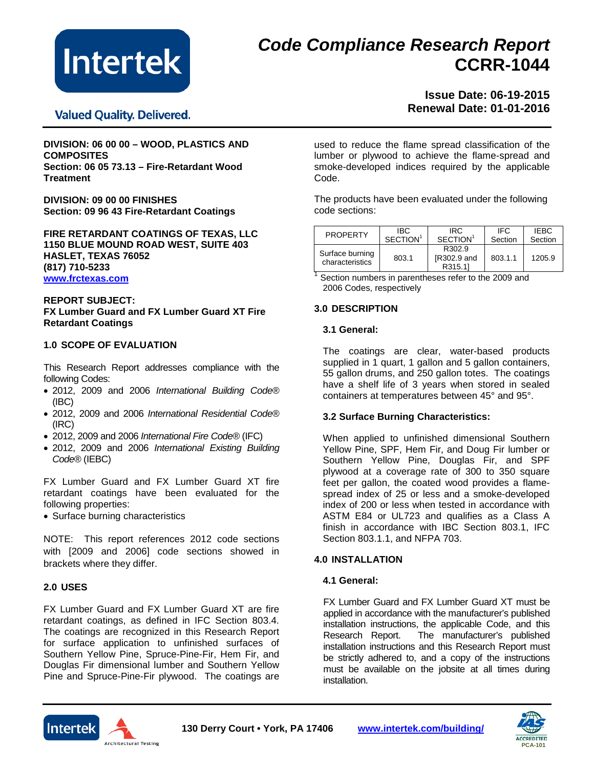

# *Code Compliance Research Report* **CCRR-1044**

# **Valued Quality. Delivered.**

# **Issue Date: 06-19-2015 Renewal Date: 01-01-2016**

**DIVISION: 06 00 00 – WOOD, PLASTICS AND COMPOSITES Section: 06 05 73.13 – Fire-Retardant Wood Treatment**

**DIVISION: 09 00 00 FINISHES Section: 09 96 43 Fire-Retardant Coatings**

**FIRE RETARDANT COATINGS OF TEXAS, LLC 1150 BLUE MOUND ROAD WEST, SUITE 403 HASLET, TEXAS 76052 (817) 710-5233 [www.frctexas.com](http://www.frctexas.com/)**

#### **REPORT SUBJECT: FX Lumber Guard and FX Lumber Guard XT Fire Retardant Coatings**

#### **1.0 SCOPE OF EVALUATION**

This Research Report addresses compliance with the following Codes:

- 2012, 2009 and 2006 *International Building Code*® (IBC)
- 2012, 2009 and 2006 *International Residential Code*® (IRC)
- 2012, 2009 and 2006 *International Fire Code*® (IFC)
- 2012, 2009 and 2006 *International Existing Building Code*® (IEBC)

FX Lumber Guard and FX Lumber Guard XT fire retardant coatings have been evaluated for the following properties:

• Surface burning characteristics

NOTE: This report references 2012 code sections with [2009 and 2006] code sections showed in brackets where they differ.

#### **2.0 USES**

**Intertek** 

FX Lumber Guard and FX Lumber Guard XT are fire retardant coatings, as defined in IFC Section 803.4. The coatings are recognized in this Research Report for surface application to unfinished surfaces of Southern Yellow Pine, Spruce-Pine-Fir, Hem Fir, and Douglas Fir dimensional lumber and Southern Yellow Pine and Spruce-Pine-Fir plywood. The coatings are

Architectural Testing

used to reduce the flame spread classification of the lumber or plywood to achieve the flame-spread and smoke-developed indices required by the applicable Code.

The products have been evaluated under the following code sections:

| <b>PROPERTY</b>                    | IBC.                  | IRC.                                    | IFC     | <b>IEBC</b> |
|------------------------------------|-----------------------|-----------------------------------------|---------|-------------|
|                                    | SFCITION <sup>1</sup> | SECTION <sup>1</sup>                    | Section | Section     |
| Surface burning<br>characteristics | 803.1                 | R302.9<br><b>IR302.9 and</b><br>R315.11 | 803.1.1 | 1205.9      |

<sup>1</sup> Section numbers in parentheses refer to the 2009 and 2006 Codes, respectively

#### **3.0 DESCRIPTION**

#### **3.1 General:**

The coatings are clear, water-based products supplied in 1 quart, 1 gallon and 5 gallon containers, 55 gallon drums, and 250 gallon totes. The coatings have a shelf life of 3 years when stored in sealed containers at temperatures between 45° and 95°.

#### **3.2 Surface Burning Characteristics:**

When applied to unfinished dimensional Southern Yellow Pine, SPF, Hem Fir, and Doug Fir lumber or Southern Yellow Pine, Douglas Fir, and SPF plywood at a coverage rate of 300 to 350 square feet per gallon, the coated wood provides a flamespread index of 25 or less and a smoke-developed index of 200 or less when tested in accordance with ASTM E84 or UL723 and qualifies as a Class A finish in accordance with IBC Section 803.1, IFC Section 803.1.1, and NFPA 703.

### **4.0 INSTALLATION**

#### **4.1 General:**

FX Lumber Guard and FX Lumber Guard XT must be applied in accordance with the manufacturer's published installation instructions, the applicable Code, and this Research Report. The manufacturer's published The manufacturer's published installation instructions and this Research Report must be strictly adhered to, and a copy of the instructions must be available on the jobsite at all times during installation.



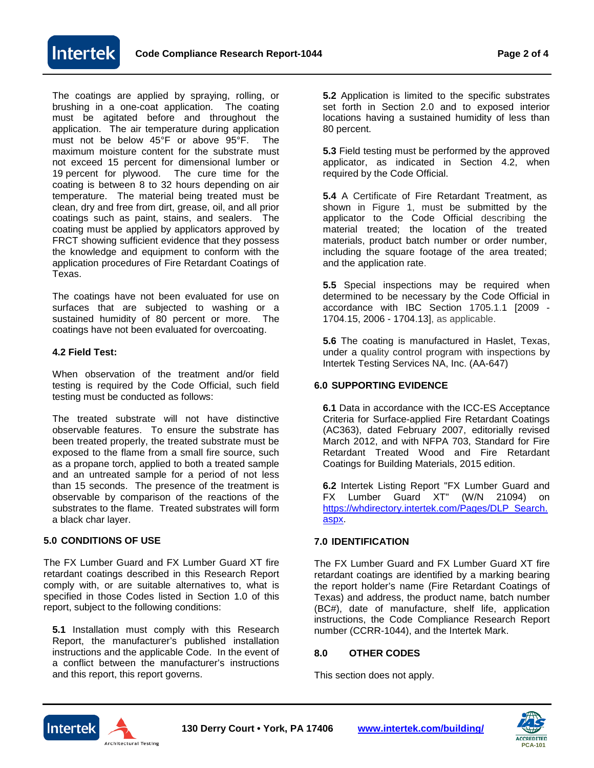

The coatings are applied by spraying, rolling, or brushing in a one-coat application. The coating must be agitated before and throughout the application. The air temperature during application must not be below 45°F or above 95°F. The maximum moisture content for the substrate must not exceed 15 percent for dimensional lumber or 19 percent for plywood. The cure time for the coating is between 8 to 32 hours depending on air temperature. The material being treated must be clean, dry and free from dirt, grease, oil, and all prior coatings such as paint, stains, and sealers. The coating must be applied by applicators approved by FRCT showing sufficient evidence that they possess the knowledge and equipment to conform with the application procedures of Fire Retardant Coatings of Texas.

The coatings have not been evaluated for use on surfaces that are subjected to washing or a sustained humidity of 80 percent or more. The coatings have not been evaluated for overcoating.

## **4.2 Field Test:**

When observation of the treatment and/or field testing is required by the Code Official, such field testing must be conducted as follows:

The treated substrate will not have distinctive observable features. To ensure the substrate has been treated properly, the treated substrate must be exposed to the flame from a small fire source, such as a propane torch, applied to both a treated sample and an untreated sample for a period of not less than 15 seconds. The presence of the treatment is observable by comparison of the reactions of the substrates to the flame. Treated substrates will form a black char layer.

# **5.0 CONDITIONS OF USE**

The FX Lumber Guard and FX Lumber Guard XT fire retardant coatings described in this Research Report comply with, or are suitable alternatives to, what is specified in those Codes listed in Section 1.0 of this report, subject to the following conditions:

**5.1** Installation must comply with this Research Report, the manufacturer's published installation instructions and the applicable Code. In the event of a conflict between the manufacturer's instructions and this report, this report governs.

**5.2** Application is limited to the specific substrates set forth in Section 2.0 and to exposed interior locations having a sustained humidity of less than 80 percent.

**5.3** Field testing must be performed by the approved applicator, as indicated in Section 4.2, when required by the Code Official.

**5.4** A Certificate of Fire Retardant Treatment, as shown in Figure 1, must be submitted by the applicator to the Code Official describing the material treated; the location of the treated materials, product batch number or order number, including the square footage of the area treated; and the application rate.

**5.5** Special inspections may be required when determined to be necessary by the Code Official in accordance with IBC Section 1705.1.1 [2009 - 1704.15, 2006 - 1704.13], as applicable.

**5.6** The coating is manufactured in Haslet, Texas, under a quality control program with inspections by Intertek Testing Services NA, Inc. (AA-647)

## **6.0 SUPPORTING EVIDENCE**

**6.1** Data in accordance with the ICC-ES Acceptance Criteria for Surface-applied Fire Retardant Coatings (AC363), dated February 2007, editorially revised March 2012, and with NFPA 703, Standard for Fire Retardant Treated Wood and Fire Retardant Coatings for Building Materials, 2015 edition.

**6.2** Intertek Listing Report "FX Lumber Guard and FX Lumber Guard XT" (W/N 21094) on [https://whdirectory.intertek.com/Pages/DLP\\_Search.](https://whdirectory.intertek.com/Pages/DLP_Search.aspx) [aspx.](https://whdirectory.intertek.com/Pages/DLP_Search.aspx)

# **7.0 IDENTIFICATION**

The FX Lumber Guard and FX Lumber Guard XT fire retardant coatings are identified by a marking bearing the report holder's name (Fire Retardant Coatings of Texas) and address, the product name, batch number (BC#), date of manufacture, shelf life, application instructions, the Code Compliance Research Report number (CCRR-1044), and the Intertek Mark.

# **8.0 OTHER CODES**

This section does not apply.



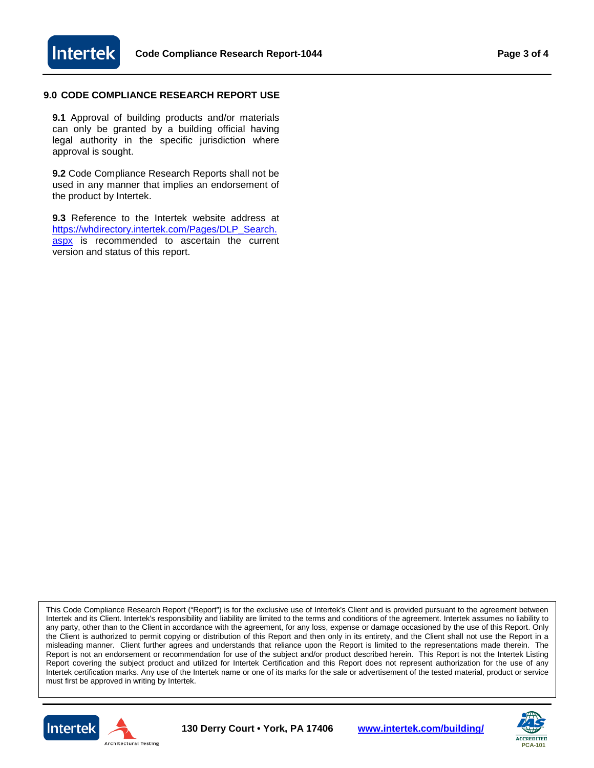

## **9.0 CODE COMPLIANCE RESEARCH REPORT USE**

**9.1** Approval of building products and/or materials can only be granted by a building official having legal authority in the specific jurisdiction where approval is sought.

**9.2** Code Compliance Research Reports shall not be used in any manner that implies an endorsement of the product by Intertek.

**9.3** Reference to the Intertek website address at [https://whdirectory.intertek.com/Pages/DLP\\_Search.](https://whdirectory.intertek.com/Pages/DLP_Search.aspx) [aspx](https://whdirectory.intertek.com/Pages/DLP_Search.aspx) is recommended to ascertain the current version and status of this report.

This Code Compliance Research Report ("Report") is for the exclusive use of Intertek's Client and is provided pursuant to the agreement between Intertek and its Client. Intertek's responsibility and liability are limited to the terms and conditions of the agreement. Intertek assumes no liability to any party, other than to the Client in accordance with the agreement, for any loss, expense or damage occasioned by the use of this Report. Only the Client is authorized to permit copying or distribution of this Report and then only in its entirety, and the Client shall not use the Report in a misleading manner. Client further agrees and understands that reliance upon the Report is limited to the representations made therein. The Report is not an endorsement or recommendation for use of the subject and/or product described herein. This Report is not the Intertek Listing Report covering the subject product and utilized for Intertek Certification and this Report does not represent authorization for the use of any Intertek certification marks. Any use of the Intertek name or one of its marks for the sale or advertisement of the tested material, product or service must first be approved in writing by Intertek.